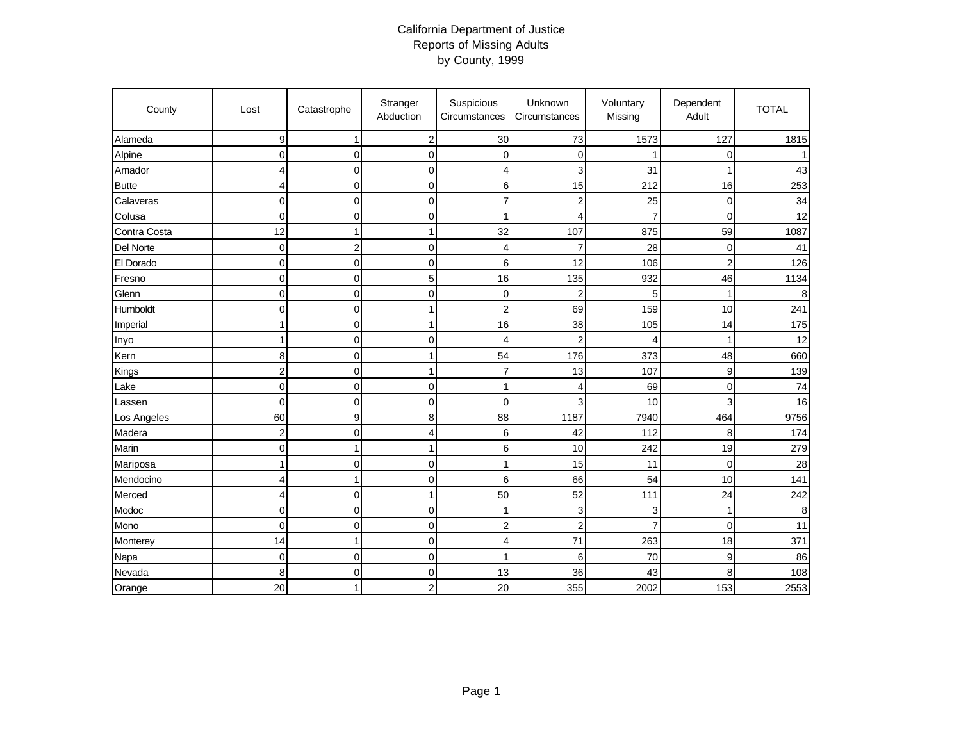## California Department of Justice Reports of Missing Adults by County, 1999

| County       | Lost             | Catastrophe         | Stranger<br>Abduction   | Suspicious<br>Circumstances | Unknown<br>Circumstances | Voluntary<br>Missing | Dependent<br>Adult | <b>TOTAL</b> |
|--------------|------------------|---------------------|-------------------------|-----------------------------|--------------------------|----------------------|--------------------|--------------|
| Alameda      | 9                | $\mathbf{1}$        | $\overline{\mathbf{c}}$ | 30                          | 73                       | 1573                 | 127                | 1815         |
| Alpine       | 0                | $\mathbf 0$         | $\mathbf 0$             | $\mathbf 0$                 | $\mathbf 0$              |                      | $\mathbf 0$        | 1            |
| Amador       | 4                | $\overline{0}$      | $\pmb{0}$               | $\overline{4}$              | 3                        | 31                   | $\mathbf{1}$       | 43           |
| <b>Butte</b> | 4                | $\overline{0}$      | $\mathbf 0$             | 6                           | 15                       | 212                  | 16                 | 253          |
| Calaveras    | $\pmb{0}$        | $\mathbf 0$         | $\pmb{0}$               | $\overline{7}$              | $\overline{2}$           | 25                   | $\mathbf 0$        | 34           |
| Colusa       | $\mathbf 0$      | $\overline{0}$      | $\mathbf 0$             | $\mathbf{1}$                | $\overline{4}$           | $\overline{7}$       | $\mathbf 0$        | 12           |
| Contra Costa | 12               | $\mathbf{1}$        | $\mathbf{1}$            | 32                          | 107                      | 875                  | 59                 | 1087         |
| Del Norte    | $\mathbf 0$      | $\mathbf 2$         | $\mathbf 0$             | 4                           | $\overline{7}$           | 28                   | 0                  | 41           |
| El Dorado    | 0                | $\mathbf 0$         | $\mathbf 0$             | 6                           | 12                       | 106                  | $\overline{2}$     | 126          |
| Fresno       | $\mathbf 0$      | $\mathbf 0$         | 5                       | 16                          | 135                      | 932                  | 46                 | 1134         |
| Glenn        | 0                | $\pmb{0}$           | $\pmb{0}$               | $\mathbf 0$                 | $\overline{c}$           | 5                    | $\mathbf{1}$       | 8            |
| Humboldt     | 0                | $\mathbf 0$         | 1                       | $\overline{c}$              | 69                       | 159                  | 10                 | 241          |
| Imperial     | $\mathbf{1}$     | $\mathbf 0$         | $\mathbf{1}$            | 16                          | 38                       | 105                  | 14                 | 175          |
| Inyo         | 1                | $\overline{0}$      | $\mathbf 0$             | $\overline{4}$              | $\overline{2}$           | $\overline{4}$       | $\mathbf{1}$       | 12           |
| Kern         | 8                | $\overline{0}$      | $\mathbf{1}$            | 54                          | 176                      | 373                  | 48                 | 660          |
| Kings        | $\boldsymbol{2}$ | $\mathbf 0$         | $\mathbf{1}$            | $\overline{7}$              | 13                       | 107                  | $\mathsf g$        | 139          |
| Lake         | $\mathbf 0$      | $\overline{0}$      | 0                       | $\mathbf{1}$                | 4                        | 69                   | $\pmb{0}$          | 74           |
| Lassen       | $\mathbf 0$      | $\mathbf 0$         | $\mathbf 0$             | $\mathbf 0$                 | 3                        | 10                   | 3                  | 16           |
| Los Angeles  | 60               | 9                   | 8                       | 88                          | 1187                     | 7940                 | 464                | 9756         |
| Madera       | $\overline{c}$   | $\overline{0}$      | 4                       | 6                           | 42                       | 112                  | 8                  | 174          |
| Marin        | $\mathbf 0$      | $\mathbf{1}$        | $\mathbf{1}$            | $\,6$                       | 10                       | 242                  | 19                 | 279          |
| Mariposa     | 1                | $\overline{0}$      | $\mathbf 0$             | $\overline{1}$              | 15                       | 11                   | $\mathbf 0$        | 28           |
| Mendocino    | 4                | 1                   | $\Omega$                | 6                           | 66                       | 54                   | 10                 | 141          |
| Merced       | 4                | $\mathsf{O}\xspace$ | $\mathbf{1}$            | 50                          | 52                       | 111                  | 24                 | 242          |
| Modoc        | 0                | $\mathbf 0$         | $\mathbf 0$             | $\mathbf{1}$                | 3                        | 3                    | $\mathbf{1}$       | 8            |
| Mono         | $\mathbf 0$      | $\mathbf 0$         | $\mathbf 0$             | $\overline{2}$              | $\overline{2}$           | $\overline{7}$       | $\mathbf 0$        | 11           |
| Monterey     | 14               | $\mathbf{1}$        | $\mathbf 0$             | $\overline{4}$              | 71                       | 263                  | 18                 | 371          |
| Napa         | $\mathbf 0$      | $\mathbf 0$         | $\mathbf 0$             | $\overline{1}$              | 6                        | 70                   | $\boldsymbol{9}$   | 86           |
| Nevada       | 8                | $\mathbf 0$         | $\mathbf 0$             | 13                          | 36                       | 43                   | 8                  | 108          |
| Orange       | 20               | 1                   | $\overline{2}$          | 20                          | 355                      | 2002                 | 153                | 2553         |